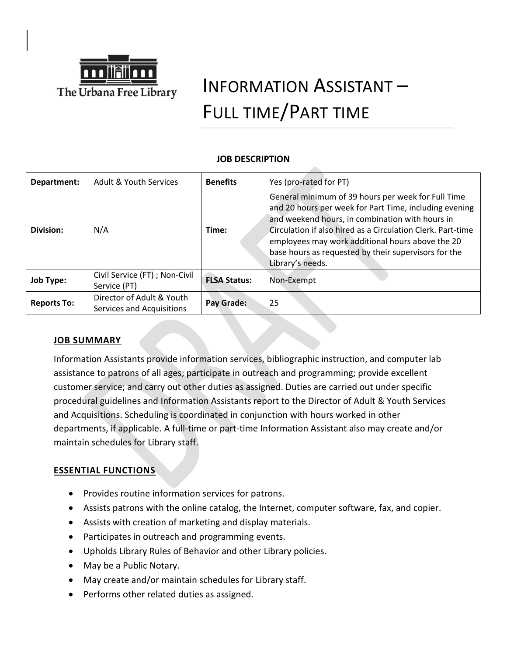

# INFORMATION ASSISTANT – FULL TIME/PART TIME

# **JOB DESCRIPTION**

| Department:        | Adult & Youth Services                                 | <b>Benefits</b>     | Yes (pro-rated for PT)                                                                                                                                                                                                                                                                                                                                         |
|--------------------|--------------------------------------------------------|---------------------|----------------------------------------------------------------------------------------------------------------------------------------------------------------------------------------------------------------------------------------------------------------------------------------------------------------------------------------------------------------|
| Division:          | N/A                                                    | Time:               | General minimum of 39 hours per week for Full Time<br>and 20 hours per week for Part Time, including evening<br>and weekend hours, in combination with hours in<br>Circulation if also hired as a Circulation Clerk. Part-time<br>employees may work additional hours above the 20<br>base hours as requested by their supervisors for the<br>Library's needs. |
| <b>Job Type:</b>   | Civil Service (FT) ; Non-Civil<br>Service (PT)         | <b>FLSA Status:</b> | Non-Exempt                                                                                                                                                                                                                                                                                                                                                     |
| <b>Reports To:</b> | Director of Adult & Youth<br>Services and Acquisitions | Pay Grade:          | 25                                                                                                                                                                                                                                                                                                                                                             |

# **JOB SUMMARY**

Information Assistants provide information services, bibliographic instruction, and computer lab assistance to patrons of all ages; participate in outreach and programming; provide excellent customer service; and carry out other duties as assigned. Duties are carried out under specific procedural guidelines and Information Assistants report to the Director of Adult & Youth Services and Acquisitions. Scheduling is coordinated in conjunction with hours worked in other departments, if applicable. A full-time or part-time Information Assistant also may create and/or maintain schedules for Library staff.

# **ESSENTIAL FUNCTIONS**

- Provides routine information services for patrons.
- Assists patrons with the online catalog, the Internet, computer software, fax, and copier.
- Assists with creation of marketing and display materials.
- Participates in outreach and programming events.
- Upholds Library Rules of Behavior and other Library policies.
- May be a Public Notary.
- May create and/or maintain schedules for Library staff.
- Performs other related duties as assigned.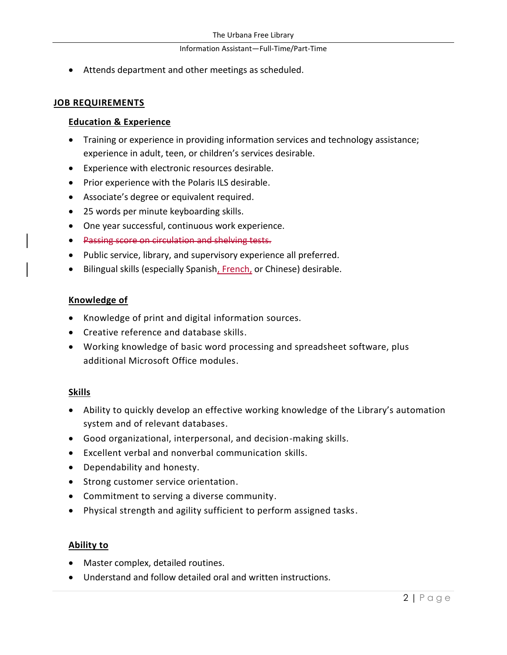#### Information Assistant—Full-Time/Part-Time

• Attends department and other meetings as scheduled.

### **JOB REQUIREMENTS**

#### **Education & Experience**

- Training or experience in providing information services and technology assistance; experience in adult, teen, or children's services desirable.
- Experience with electronic resources desirable.
- Prior experience with the Polaris ILS desirable.
- Associate's degree or equivalent required.
- 25 words per minute keyboarding skills.
- One year successful, continuous work experience.
- Passing score on circulation and shelving tests.
- Public service, library, and supervisory experience all preferred.
- Bilingual skills (especially Spanish, French, or Chinese) desirable.

### **Knowledge of**

- Knowledge of print and digital information sources.
- Creative reference and database skills.
- Working knowledge of basic word processing and spreadsheet software, plus additional Microsoft Office modules.

### **Skills**

- Ability to quickly develop an effective working knowledge of the Library's automation system and of relevant databases.
- Good organizational, interpersonal, and decision-making skills.
- Excellent verbal and nonverbal communication skills.
- Dependability and honesty.
- Strong customer service orientation.
- Commitment to serving a diverse community.
- Physical strength and agility sufficient to perform assigned tasks.

### **Ability to**

- Master complex, detailed routines.
- Understand and follow detailed oral and written instructions.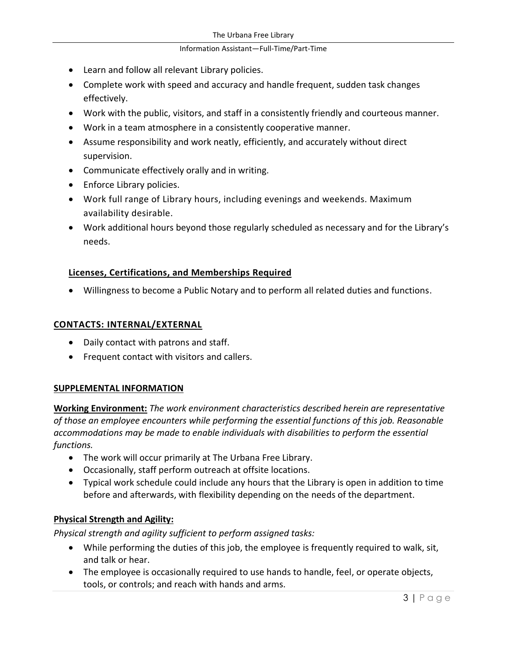#### Information Assistant—Full-Time/Part-Time

- Learn and follow all relevant Library policies.
- Complete work with speed and accuracy and handle frequent, sudden task changes effectively.
- Work with the public, visitors, and staff in a consistently friendly and courteous manner.
- Work in a team atmosphere in a consistently cooperative manner.
- Assume responsibility and work neatly, efficiently, and accurately without direct supervision.
- Communicate effectively orally and in writing.
- Enforce Library policies.
- Work full range of Library hours, including evenings and weekends. Maximum availability desirable.
- Work additional hours beyond those regularly scheduled as necessary and for the Library's needs.

# **Licenses, Certifications, and Memberships Required**

• Willingness to become a Public Notary and to perform all related duties and functions.

### **CONTACTS: INTERNAL/EXTERNAL**

- Daily contact with patrons and staff.
- Frequent contact with visitors and callers.

### **SUPPLEMENTAL INFORMATION**

**Working Environment:** *The work environment characteristics described herein are representative of those an employee encounters while performing the essential functions of this job. Reasonable accommodations may be made to enable individuals with disabilities to perform the essential functions.*

- The work will occur primarily at The Urbana Free Library.
- Occasionally, staff perform outreach at offsite locations.
- Typical work schedule could include any hours that the Library is open in addition to time before and afterwards, with flexibility depending on the needs of the department.

### **Physical Strength and Agility:**

*Physical strength and agility sufficient to perform assigned tasks:*

- While performing the duties of this job, the employee is frequently required to walk, sit, and talk or hear.
- The employee is occasionally required to use hands to handle, feel, or operate objects, tools, or controls; and reach with hands and arms.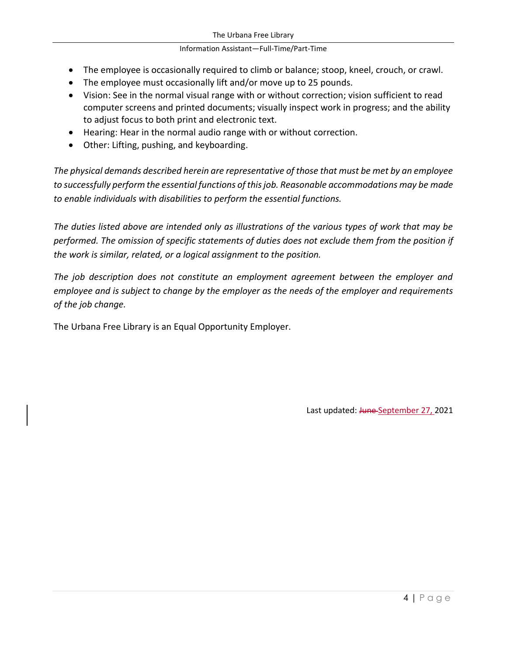#### Information Assistant—Full-Time/Part-Time

- The employee is occasionally required to climb or balance; stoop, kneel, crouch, or crawl.
- The employee must occasionally lift and/or move up to 25 pounds.
- Vision: See in the normal visual range with or without correction; vision sufficient to read computer screens and printed documents; visually inspect work in progress; and the ability to adjust focus to both print and electronic text.
- Hearing: Hear in the normal audio range with or without correction.
- Other: Lifting, pushing, and keyboarding.

*The physical demands described herein are representative of those that must be met by an employee to successfully perform the essential functions of this job. Reasonable accommodations may be made to enable individuals with disabilities to perform the essential functions.*

*The duties listed above are intended only as illustrations of the various types of work that may be performed. The omission of specific statements of duties does not exclude them from the position if the work is similar, related, or a logical assignment to the position.*

*The job description does not constitute an employment agreement between the employer and employee and is subject to change by the employer as the needs of the employer and requirements of the job change.*

The Urbana Free Library is an Equal Opportunity Employer.

Last updated: June September 27, 2021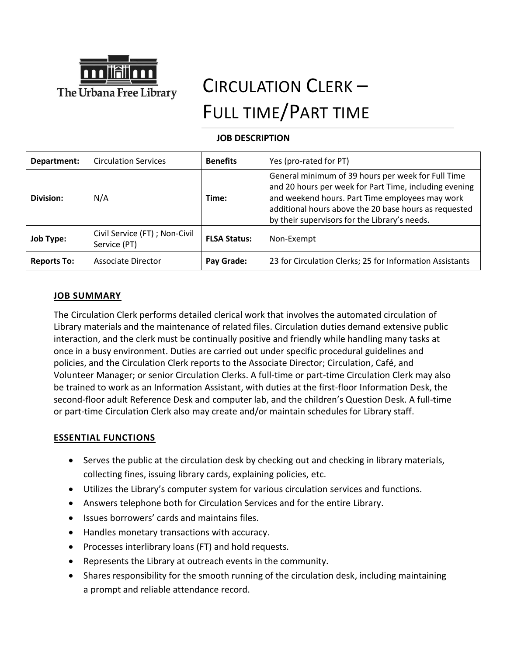

# CIRCULATION CLERK – FULL TIME/PART TIME

## **JOB DESCRIPTION**

| Department:        | <b>Circulation Services</b>                    | <b>Benefits</b>     | Yes (pro-rated for PT)                                                                                                                                                                                                                                                    |
|--------------------|------------------------------------------------|---------------------|---------------------------------------------------------------------------------------------------------------------------------------------------------------------------------------------------------------------------------------------------------------------------|
| Division:          | N/A                                            | Time:               | General minimum of 39 hours per week for Full Time<br>and 20 hours per week for Part Time, including evening<br>and weekend hours. Part Time employees may work<br>additional hours above the 20 base hours as requested<br>by their supervisors for the Library's needs. |
| <b>Job Type:</b>   | Civil Service (FT) ; Non-Civil<br>Service (PT) | <b>FLSA Status:</b> | Non-Exempt                                                                                                                                                                                                                                                                |
| <b>Reports To:</b> | Associate Director                             | Pay Grade:          | 23 for Circulation Clerks; 25 for Information Assistants                                                                                                                                                                                                                  |

## **JOB SUMMARY**

The Circulation Clerk performs detailed clerical work that involves the automated circulation of Library materials and the maintenance of related files. Circulation duties demand extensive public interaction, and the clerk must be continually positive and friendly while handling many tasks at once in a busy environment. Duties are carried out under specific procedural guidelines and policies, and the Circulation Clerk reports to the Associate Director; Circulation, Café, and Volunteer Manager; or senior Circulation Clerks. A full-time or part-time Circulation Clerk may also be trained to work as an Information Assistant, with duties at the first-floor Information Desk, the second-floor adult Reference Desk and computer lab, and the children's Question Desk. A full-time or part-time Circulation Clerk also may create and/or maintain schedules for Library staff.

### **ESSENTIAL FUNCTIONS**

- Serves the public at the circulation desk by checking out and checking in library materials, collecting fines, issuing library cards, explaining policies, etc.
- Utilizes the Library's computer system for various circulation services and functions.
- Answers telephone both for Circulation Services and for the entire Library.
- Issues borrowers' cards and maintains files.
- Handles monetary transactions with accuracy.
- Processes interlibrary loans (FT) and hold requests.
- Represents the Library at outreach events in the community.
- Shares responsibility for the smooth running of the circulation desk, including maintaining a prompt and reliable attendance record.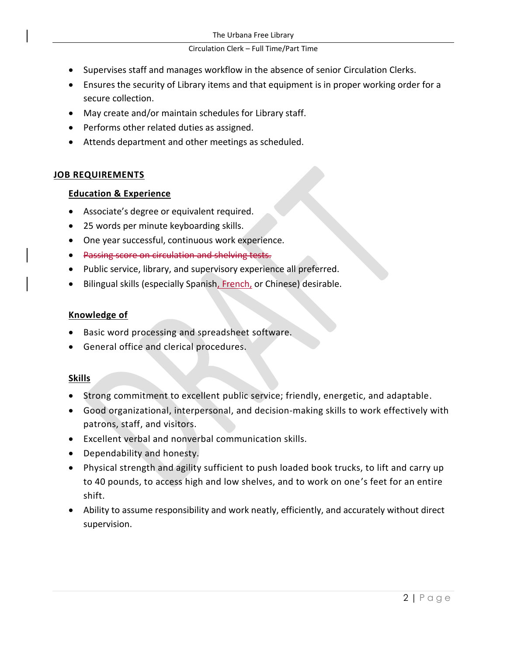#### Circulation Clerk – Full Time/Part Time

- Supervises staff and manages workflow in the absence of senior Circulation Clerks.
- Ensures the security of Library items and that equipment is in proper working order for a secure collection.
- May create and/or maintain schedules for Library staff.
- Performs other related duties as assigned.
- Attends department and other meetings as scheduled.

# **JOB REQUIREMENTS**

# **Education & Experience**

- Associate's degree or equivalent required.
- 25 words per minute keyboarding skills.
- One year successful, continuous work experience.
- Passing score on circulation and shelving tests.
- Public service, library, and supervisory experience all preferred.
- Bilingual skills (especially Spanish, French, or Chinese) desirable.

# **Knowledge of**

- Basic word processing and spreadsheet software.
- General office and clerical procedures.

# **Skills**

- Strong commitment to excellent public service; friendly, energetic, and adaptable.
- Good organizational, interpersonal, and decision-making skills to work effectively with patrons, staff, and visitors.
- Excellent verbal and nonverbal communication skills.
- Dependability and honesty.
- Physical strength and agility sufficient to push loaded book trucks, to lift and carry up to 40 pounds, to access high and low shelves, and to work on one's feet for an entire shift.
- Ability to assume responsibility and work neatly, efficiently, and accurately without direct supervision.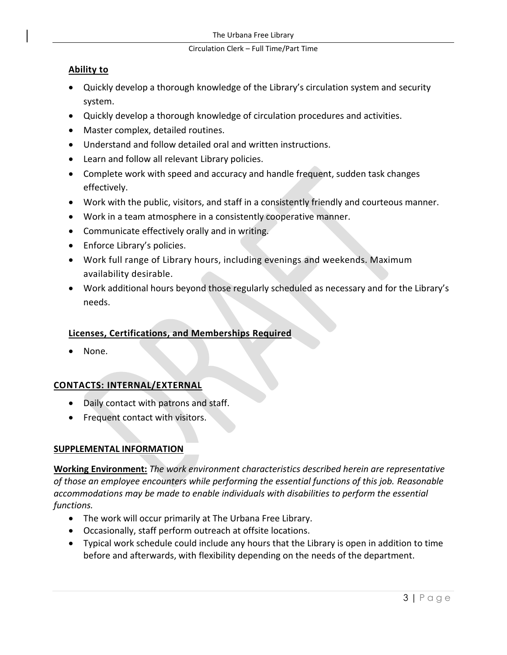#### Circulation Clerk – Full Time/Part Time

## **Ability to**

- Quickly develop a thorough knowledge of the Library's circulation system and security system.
- Quickly develop a thorough knowledge of circulation procedures and activities.
- Master complex, detailed routines.
- Understand and follow detailed oral and written instructions.
- Learn and follow all relevant Library policies.
- Complete work with speed and accuracy and handle frequent, sudden task changes effectively.
- Work with the public, visitors, and staff in a consistently friendly and courteous manner.
- Work in a team atmosphere in a consistently cooperative manner.
- Communicate effectively orally and in writing.
- Enforce Library's policies.
- Work full range of Library hours, including evenings and weekends. Maximum availability desirable.
- Work additional hours beyond those regularly scheduled as necessary and for the Library's needs.

# **Licenses, Certifications, and Memberships Required**

None.

# **CONTACTS: INTERNAL/EXTERNAL**

- Daily contact with patrons and staff.
- Frequent contact with visitors.

# **SUPPLEMENTAL INFORMATION**

**Working Environment:** *The work environment characteristics described herein are representative of those an employee encounters while performing the essential functions of this job. Reasonable accommodations may be made to enable individuals with disabilities to perform the essential functions.*

- The work will occur primarily at The Urbana Free Library.
- Occasionally, staff perform outreach at offsite locations.
- Typical work schedule could include any hours that the Library is open in addition to time before and afterwards, with flexibility depending on the needs of the department.